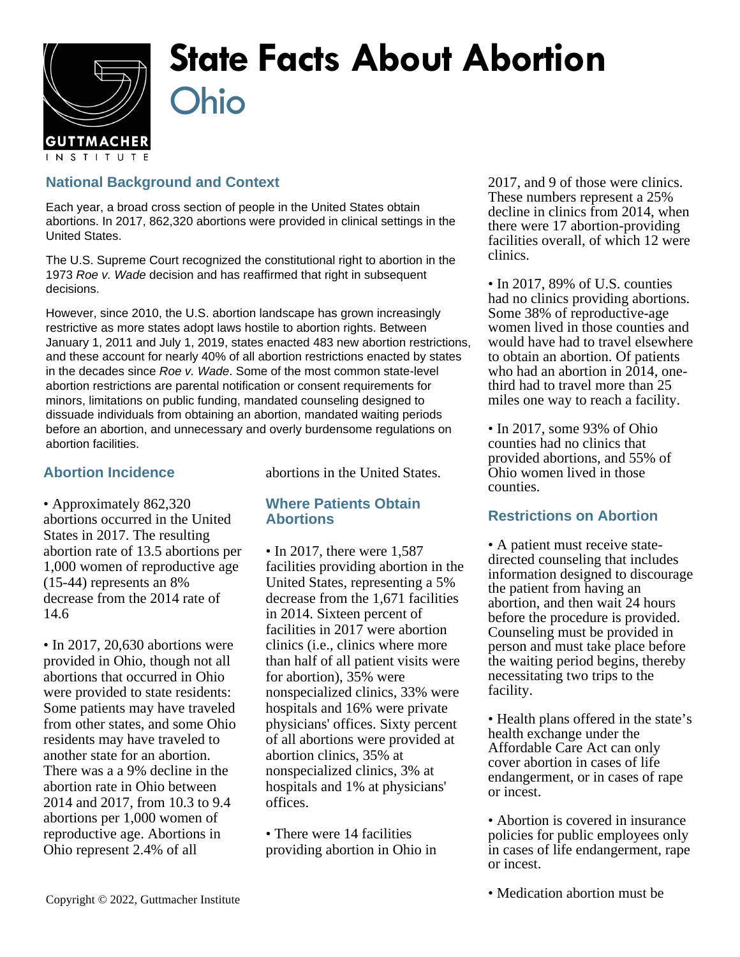

## **State Facts About Abortion** Ohio

## **National Background and Context**

Each year, a broad cross section of people in the United States obtain abortions. In 2017, 862,320 abortions were provided in clinical settings in the United States.

The U.S. Supreme Court recognized the constitutional right to abortion in the 1973 Roe v. Wade decision and has reaffirmed that right in subsequent decisions.

However, since 2010, the U.S. abortion landscape has grown increasingly restrictive as more states adopt laws hostile to abortion rights. Between January 1, 2011 and July 1, 2019, states enacted 483 new abortion restrictions, and these account for nearly 40% of all abortion restrictions enacted by states in the decades since Roe v. Wade. Some of the most common state-level abortion restrictions are parental notification or consent requirements for minors, limitations on public funding, mandated counseling designed to dissuade individuals from obtaining an abortion, mandated waiting periods before an abortion, and unnecessary and overly burdensome regulations on abortion facilities.

## **Abortion Incidence**

abortions in the United States.

• Approximately 862,320 abortions occurred in the United States in 2017. The resulting abortion rate of 13.5 abortions per 1,000 women of reproductive age (15-44) represents an 8% decrease from the 2014 rate of 14.6

• In 2017, 20,630 abortions were provided in Ohio, though not all abortions that occurred in Ohio were provided to state residents: Some patients may have traveled from other states, and some Ohio residents may have traveled to another state for an abortion. There was a a 9% decline in the abortion rate in Ohio between 2014 and 2017, from 10.3 to 9.4 abortions per 1,000 women of reproductive age. Abortions in Ohio represent 2.4% of all

**Where Patients Obtain Abortions**

• In 2017, there were 1,587 facilities providing abortion in the United States, representing a 5% decrease from the 1,671 facilities in 2014. Sixteen percent of facilities in 2017 were abortion clinics (i.e., clinics where more than half of all patient visits were for abortion), 35% were nonspecialized clinics, 33% were hospitals and 16% were private physicians' offices. Sixty percent of all abortions were provided at abortion clinics, 35% at nonspecialized clinics, 3% at hospitals and 1% at physicians' offices.

• There were 14 facilities providing abortion in Ohio in 2017, and 9 of those were clinics. These numbers represent a 25% decline in clinics from 2014, when there were 17 abortion-providing facilities overall, of which 12 were clinics.

• In 2017, 89% of U.S. counties had no clinics providing abortions. Some 38% of reproductive-age women lived in those counties and would have had to travel elsewhere to obtain an abortion. Of patients who had an abortion in 2014, onethird had to travel more than 25 miles one way to reach a facility.

• In 2017, some 93% of Ohio counties had no clinics that provided abortions, and 55% of Ohio women lived in those counties.

## **Restrictions on Abortion**

• A patient must receive statedirected counseling that includes information designed to discourage the patient from having an abortion, and then wait 24 hours before the procedure is provided. Counseling must be provided in person and must take place before the waiting period begins, thereby necessitating two trips to the facility.

• Health plans offered in the state's health exchange under the Affordable Care Act can only cover abortion in cases of life endangerment, or in cases of rape or incest.

• Abortion is covered in insurance policies for public employees only in cases of life endangerment, rape or incest.